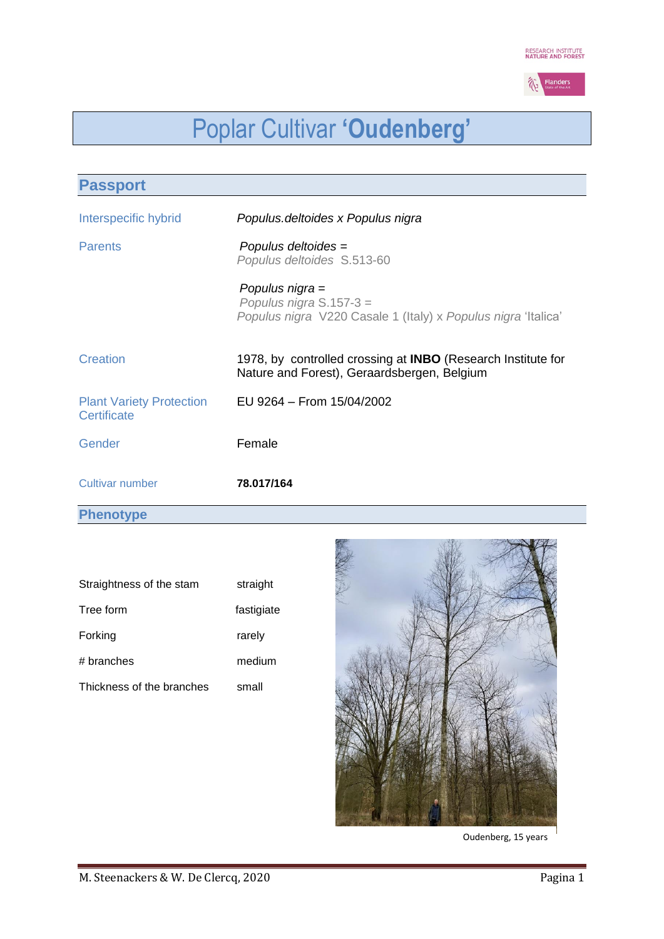

# Poplar Cultivar **'Oudenberg'**

| <b>Passport</b>                                |                                                                                                                    |
|------------------------------------------------|--------------------------------------------------------------------------------------------------------------------|
| Interspecific hybrid                           | Populus.deltoides x Populus nigra                                                                                  |
| <b>Parents</b>                                 | Populus deltoides =<br>Populus deltoides S.513-60                                                                  |
|                                                | Populus nigra =<br>Populus nigra $S.157-3 =$<br>Populus nigra V220 Casale 1 (Italy) x Populus nigra 'Italica'      |
| <b>Creation</b>                                | 1978, by controlled crossing at <b>INBO</b> (Research Institute for<br>Nature and Forest), Geraardsbergen, Belgium |
| <b>Plant Variety Protection</b><br>Certificate | EU 9264 - From 15/04/2002                                                                                          |
| Gender                                         | Female                                                                                                             |
| <b>Cultivar number</b>                         | 78.017/164                                                                                                         |

**Phenotype**

| Straightness of the stam  | straight   |
|---------------------------|------------|
| Tree form                 | fastigiate |
| Forking                   | rarely     |
| # branches                | medium     |
| Thickness of the branches | small      |



Oudenberg, 15 years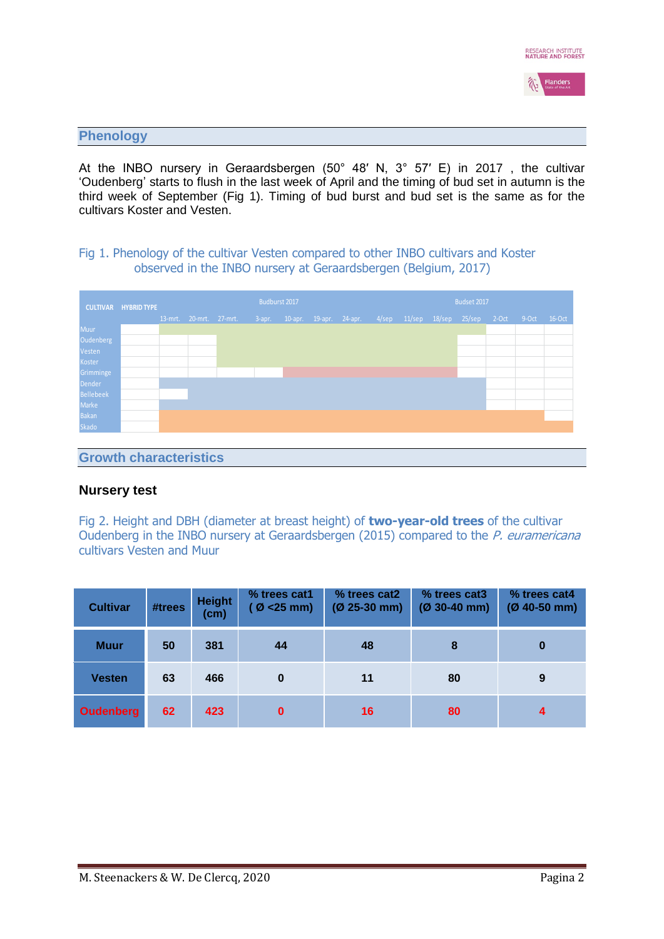

## **Phenology**

At the INBO nursery in Geraardsbergen (50° 48′ N, 3° 57′ E) in 2017 , the cultivar 'Oudenberg' starts to flush in the last week of April and the timing of bud set in autumn is the third week of September (Fig 1). Timing of bud burst and bud set is the same as for the cultivars Koster and Vesten.

## Fig 1. Phenology of the cultivar Vesten compared to other INBO cultivars and Koster observed in the INBO nursery at Geraardsbergen (Belgium, 2017)

| <b>CULTIVAR HYBRID TYPE</b> |  |  | Budburst 2017 |                         |  |  | Budset 2017 |  |  |                                             |  |               |         |        |
|-----------------------------|--|--|---------------|-------------------------|--|--|-------------|--|--|---------------------------------------------|--|---------------|---------|--------|
|                             |  |  |               |                         |  |  |             |  |  |                                             |  | $2-Oct$       | $9-0ct$ | 16-Oct |
|                             |  |  |               |                         |  |  |             |  |  |                                             |  |               |         |        |
|                             |  |  |               |                         |  |  |             |  |  |                                             |  |               |         |        |
|                             |  |  |               |                         |  |  |             |  |  |                                             |  |               |         |        |
|                             |  |  |               |                         |  |  |             |  |  |                                             |  |               |         |        |
|                             |  |  |               |                         |  |  |             |  |  |                                             |  |               |         |        |
|                             |  |  |               |                         |  |  |             |  |  |                                             |  |               |         |        |
|                             |  |  |               |                         |  |  |             |  |  |                                             |  |               |         |        |
|                             |  |  |               |                         |  |  |             |  |  |                                             |  |               |         |        |
|                             |  |  |               |                         |  |  |             |  |  |                                             |  |               |         |        |
|                             |  |  |               |                         |  |  |             |  |  |                                             |  |               |         |        |
|                             |  |  |               | 13-mrt. 20-mrt. 27-mrt. |  |  |             |  |  | 3-apr. 10-apr. 19-apr. 24-apr. 4/sep 11/sep |  | 18/sep 25/sep |         |        |

#### **Growth characteristics**

## **Nursery test**

Fig 2. Height and DBH (diameter at breast height) of **two-year-old trees** of the cultivar Oudenberg in the INBO nursery at Geraardsbergen (2015) compared to the P. euramericana cultivars Vesten and Muur

| <b>Cultivar</b>  | #trees | <b>Height</b><br>(cm) | % trees cat1<br>$(Ø < 25$ mm) | % trees cat2<br>$(Ø 25-30 mm)$ | % trees cat3<br>$(Ø 30-40$ mm) | % trees cat4<br>$(Ø 40-50 mm)$ |
|------------------|--------|-----------------------|-------------------------------|--------------------------------|--------------------------------|--------------------------------|
| <b>Muur</b>      | 50     | 381                   | 44                            | 48                             | 8                              | 0                              |
| <b>Vesten</b>    | 63     | 466                   | 0                             | 11                             | 80                             | 9                              |
| <b>Oudenberg</b> | 62     | 423                   | $\bf{0}$                      | 16                             | 80                             | $\boldsymbol{4}$               |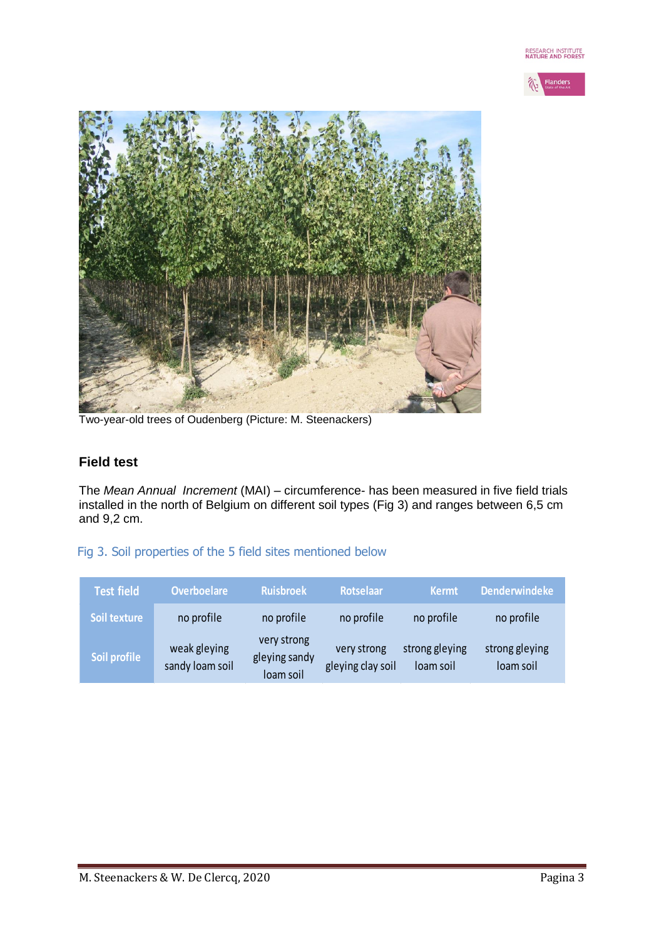



Two-year-old trees of Oudenberg (Picture: M. Steenackers)

# **Field test**

The *Mean Annual Increment* (MAI) – circumference- has been measured in five field trials installed in the north of Belgium on different soil types (Fig 3) and ranges between 6,5 cm and 9,2 cm.

# Fig 3. Soil properties of the 5 field sites mentioned below

| <b>Test field</b> | <b>Overboelare</b>              | <b>Ruisbroek</b>                          | <b>Rotselaar</b>                 | <b>Kermt</b>                | <b>Denderwindeke</b>        |
|-------------------|---------------------------------|-------------------------------------------|----------------------------------|-----------------------------|-----------------------------|
| Soil texture      | no profile                      | no profile                                | no profile                       | no profile                  | no profile                  |
| Soil profile      | weak gleying<br>sandy loam soil | very strong<br>gleying sandy<br>loam soil | very strong<br>gleying clay soil | strong gleying<br>loam soil | strong gleying<br>loam soil |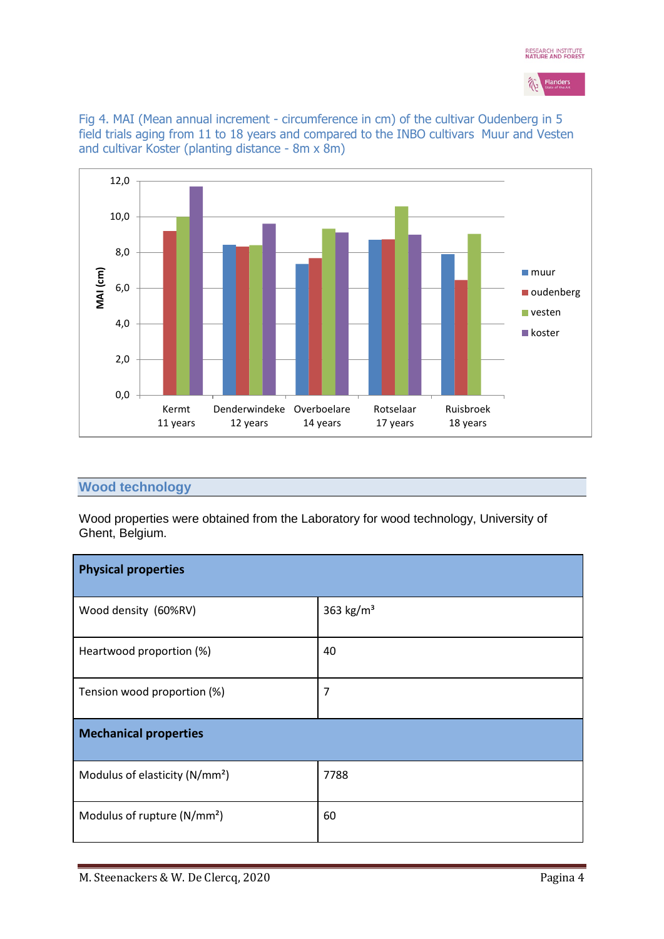



Fig 4. MAI (Mean annual increment - circumference in cm) of the cultivar Oudenberg in 5 field trials aging from 11 to 18 years and compared to the INBO cultivars Muur and Vesten and cultivar Koster (planting distance - 8m x 8m)



## **Wood technology**

Wood properties were obtained from the Laboratory for wood technology, University of Ghent, Belgium.

| <b>Physical properties</b>                 |             |  |  |  |  |  |
|--------------------------------------------|-------------|--|--|--|--|--|
| Wood density (60%RV)                       | 363 $kg/m3$ |  |  |  |  |  |
| Heartwood proportion (%)                   | 40          |  |  |  |  |  |
| Tension wood proportion (%)                | 7           |  |  |  |  |  |
| <b>Mechanical properties</b>               |             |  |  |  |  |  |
| Modulus of elasticity (N/mm <sup>2</sup> ) | 7788        |  |  |  |  |  |
| Modulus of rupture (N/mm <sup>2</sup> )    | 60          |  |  |  |  |  |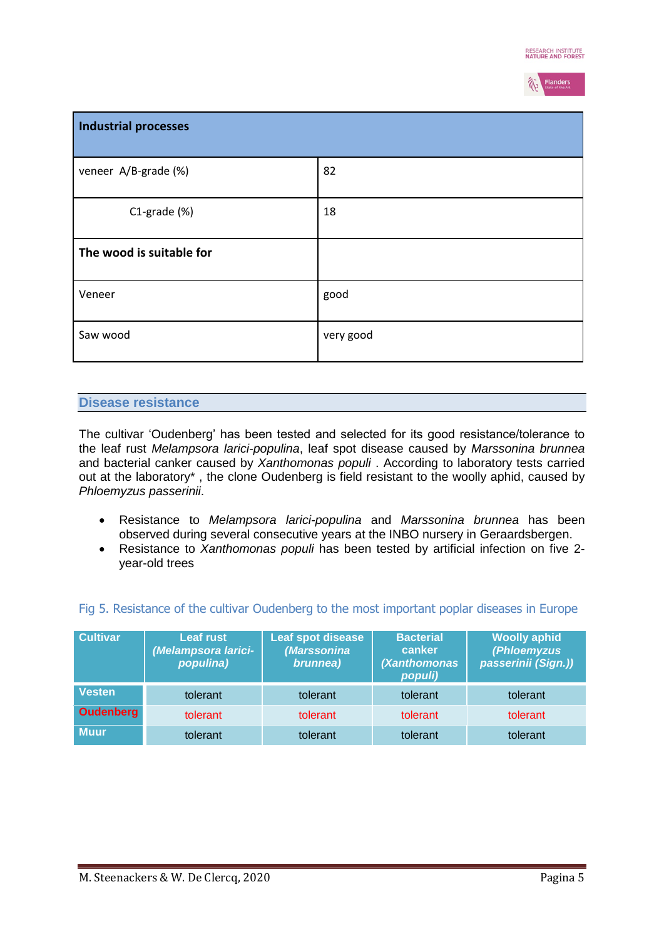

| Industrial processes     |           |
|--------------------------|-----------|
| veneer A/B-grade (%)     | 82        |
| $C1$ -grade $(\%)$       | 18        |
| The wood is suitable for |           |
| Veneer                   | good      |
| Saw wood                 | very good |

## **Disease resistance**

The cultivar 'Oudenberg' has been tested and selected for its good resistance/tolerance to the leaf rust *Melampsora larici-populina*, leaf spot disease caused by *Marssonina brunnea* and bacterial canker caused by *Xanthomonas populi* . According to laboratory tests carried out at the laboratory\* , the clone Oudenberg is field resistant to the woolly aphid, caused by *Phloemyzus passerinii*.

- Resistance to *Melampsora larici-populina* and *Marssonina brunnea* has been observed during several consecutive years at the INBO nursery in Geraardsbergen.
- Resistance to *Xanthomonas populi* has been tested by artificial infection on five 2 year-old trees

| <b>Cultivar</b>  | <b>Leaf rust</b><br>(Melampsora larici-<br>populina) | Leaf spot disease<br>(Marssonina <sup>)</sup><br>brunnea) | <b>Bacterial</b><br>canker<br>(Xanthomonas<br>populi) | <b>Woolly aphid</b><br>(Phloemyzus<br>passerinii (Sign.)) |
|------------------|------------------------------------------------------|-----------------------------------------------------------|-------------------------------------------------------|-----------------------------------------------------------|
| <b>Vesten</b>    | tolerant                                             | tolerant                                                  | tolerant                                              | tolerant                                                  |
| <b>Oudenberg</b> | tolerant                                             | tolerant                                                  | tolerant                                              | tolerant                                                  |
| <b>Muur</b>      | tolerant                                             | tolerant                                                  | tolerant                                              | tolerant                                                  |

## Fig 5. Resistance of the cultivar Oudenberg to the most important poplar diseases in Europe